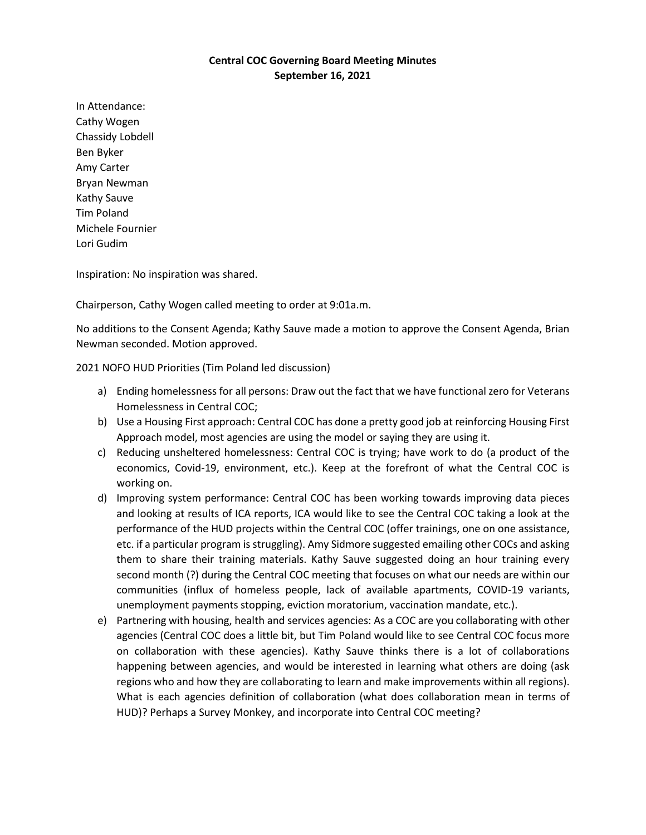## **Central COC Governing Board Meeting Minutes September 16, 2021**

In Attendance: Cathy Wogen Chassidy Lobdell Ben Byker Amy Carter Bryan Newman Kathy Sauve Tim Poland Michele Fournier Lori Gudim

Inspiration: No inspiration was shared.

Chairperson, Cathy Wogen called meeting to order at 9:01a.m.

No additions to the Consent Agenda; Kathy Sauve made a motion to approve the Consent Agenda, Brian Newman seconded. Motion approved.

2021 NOFO HUD Priorities (Tim Poland led discussion)

- a) Ending homelessness for all persons: Draw out the fact that we have functional zero for Veterans Homelessness in Central COC;
- b) Use a Housing First approach: Central COC has done a pretty good job at reinforcing Housing First Approach model, most agencies are using the model or saying they are using it.
- c) Reducing unsheltered homelessness: Central COC is trying; have work to do (a product of the economics, Covid-19, environment, etc.). Keep at the forefront of what the Central COC is working on.
- d) Improving system performance: Central COC has been working towards improving data pieces and looking at results of ICA reports, ICA would like to see the Central COC taking a look at the performance of the HUD projects within the Central COC (offer trainings, one on one assistance, etc. if a particular program is struggling). Amy Sidmore suggested emailing other COCs and asking them to share their training materials. Kathy Sauve suggested doing an hour training every second month (?) during the Central COC meeting that focuses on what our needs are within our communities (influx of homeless people, lack of available apartments, COVID-19 variants, unemployment payments stopping, eviction moratorium, vaccination mandate, etc.).
- e) Partnering with housing, health and services agencies: As a COC are you collaborating with other agencies (Central COC does a little bit, but Tim Poland would like to see Central COC focus more on collaboration with these agencies). Kathy Sauve thinks there is a lot of collaborations happening between agencies, and would be interested in learning what others are doing (ask regions who and how they are collaborating to learn and make improvements within all regions). What is each agencies definition of collaboration (what does collaboration mean in terms of HUD)? Perhaps a Survey Monkey, and incorporate into Central COC meeting?